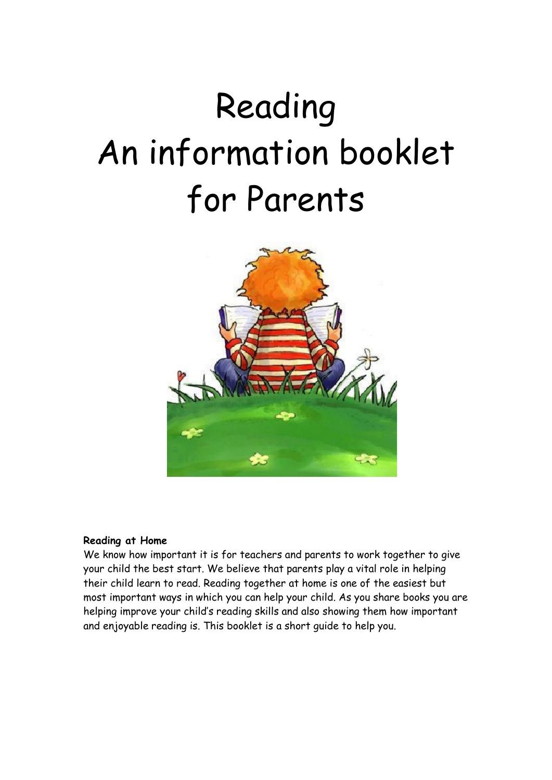# Reading An information booklet for Parents



#### **Reading at Home**

We know how important it is for teachers and parents to work together to give your child the best start. We believe that parents play a vital role in helping their child learn to read. Reading together at home is one of the easiest but most important ways in which you can help your child. As you share books you are helping improve your child's reading skills and also showing them how important and enjoyable reading is. This booklet is a short guide to help you.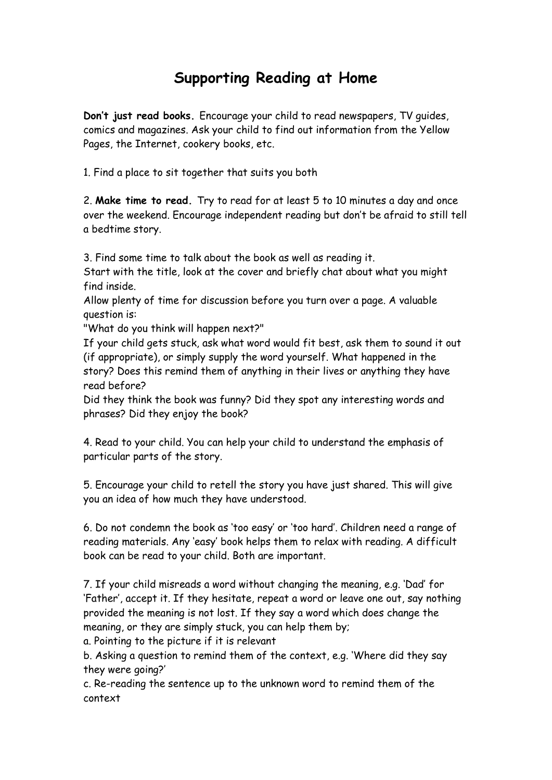## **Supporting Reading at Home**

**Don't just read books.** Encourage your child to read newspapers, TV guides, comics and magazines. Ask your child to find out information from the Yellow Pages, the Internet, cookery books, etc.

1. Find a place to sit together that suits you both

2. **Make time to read.** Try to read for at least 5 to 10 minutes a day and once over the weekend. Encourage independent reading but don't be afraid to still tell a bedtime story.

3. Find some time to talk about the book as well as reading it.

Start with the title, look at the cover and briefly chat about what you might find inside.

Allow plenty of time for discussion before you turn over a page. A valuable question is:

"What do you think will happen next?"

If your child gets stuck, ask what word would fit best, ask them to sound it out (if appropriate), or simply supply the word yourself. What happened in the story? Does this remind them of anything in their lives or anything they have read before?

Did they think the book was funny? Did they spot any interesting words and phrases? Did they enjoy the book?

4. Read to your child. You can help your child to understand the emphasis of particular parts of the story.

5. Encourage your child to retell the story you have just shared. This will give you an idea of how much they have understood.

6. Do not condemn the book as 'too easy' or 'too hard'. Children need a range of reading materials. Any 'easy' book helps them to relax with reading. A difficult book can be read to your child. Both are important.

7. If your child misreads a word without changing the meaning, e.g. 'Dad' for 'Father', accept it. If they hesitate, repeat a word or leave one out, say nothing provided the meaning is not lost. If they say a word which does change the meaning, or they are simply stuck, you can help them by;

a. Pointing to the picture if it is relevant

b. Asking a question to remind them of the context, e.g. 'Where did they say they were going?'

c. Re-reading the sentence up to the unknown word to remind them of the context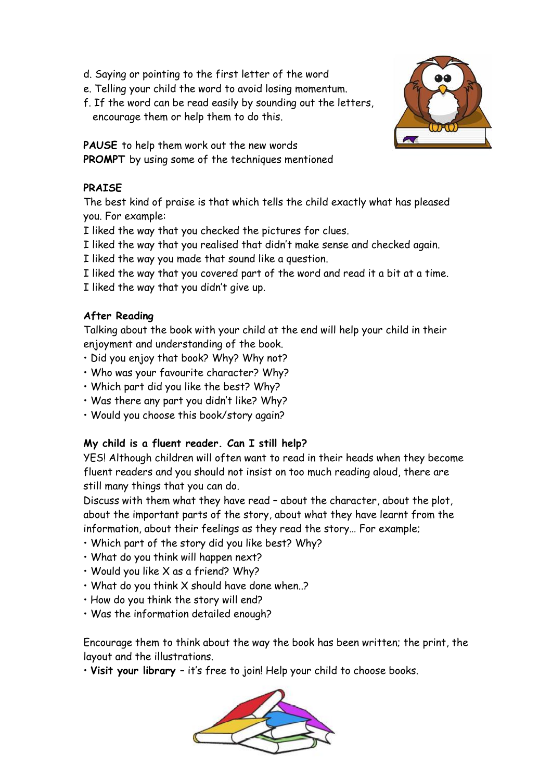- d. Saying or pointing to the first letter of the word
- e. Telling your child the word to avoid losing momentum.
- f. If the word can be read easily by sounding out the letters, encourage them or help them to do this.

**PAUSE** to help them work out the new words **PROMPT** by using some of the techniques mentioned

### **PRAISE**

The best kind of praise is that which tells the child exactly what has pleased you. For example:

I liked the way that you checked the pictures for clues.

I liked the way that you realised that didn't make sense and checked again.

I liked the way you made that sound like a question.

- I liked the way that you covered part of the word and read it a bit at a time.
- I liked the way that you didn't give up.

### **After Reading**

Talking about the book with your child at the end will help your child in their enjoyment and understanding of the book.

- Did you enjoy that book? Why? Why not?
- Who was your favourite character? Why?
- Which part did you like the best? Why?
- Was there any part you didn't like? Why?
- Would you choose this book/story again?

### **My child is a fluent reader. Can I still help?**

YES! Although children will often want to read in their heads when they become fluent readers and you should not insist on too much reading aloud, there are still many things that you can do.

Discuss with them what they have read – about the character, about the plot, about the important parts of the story, about what they have learnt from the information, about their feelings as they read the story… For example;

- Which part of the story did you like best? Why?
- What do you think will happen next?
- Would you like X as a friend? Why?
- What do you think X should have done when..?
- How do you think the story will end?
- Was the information detailed enough?

Encourage them to think about the way the book has been written; the print, the layout and the illustrations.

• **Visit your library** – it's free to join! Help your child to choose books.



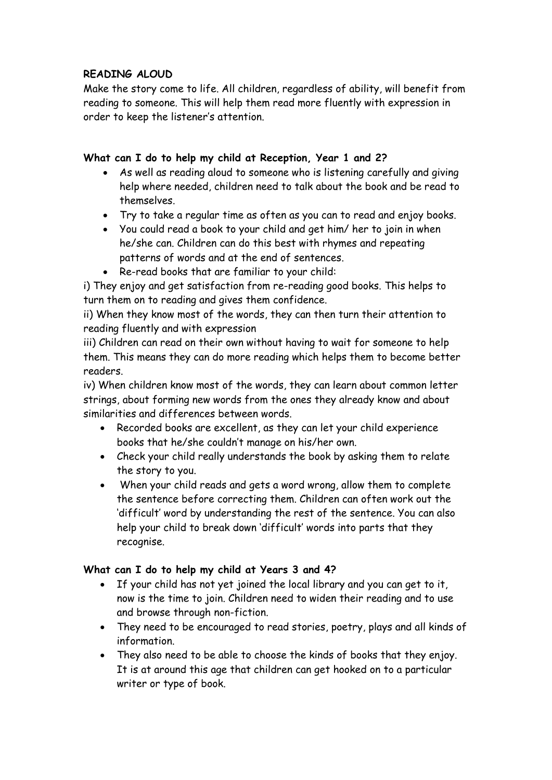### **READING ALOUD**

Make the story come to life. All children, regardless of ability, will benefit from reading to someone. This will help them read more fluently with expression in order to keep the listener's attention.

#### **What can I do to help my child at Reception, Year 1 and 2?**

- As well as reading aloud to someone who is listening carefully and giving help where needed, children need to talk about the book and be read to themselves.
- Try to take a regular time as often as you can to read and enjoy books.
- You could read a book to your child and get him/ her to join in when he/she can. Children can do this best with rhymes and repeating patterns of words and at the end of sentences.
- Re-read books that are familiar to your child:

i) They enjoy and get satisfaction from re-reading good books. This helps to turn them on to reading and gives them confidence.

ii) When they know most of the words, they can then turn their attention to reading fluently and with expression

iii) Children can read on their own without having to wait for someone to help them. This means they can do more reading which helps them to become better readers.

iv) When children know most of the words, they can learn about common letter strings, about forming new words from the ones they already know and about similarities and differences between words.

- Recorded books are excellent, as they can let your child experience books that he/she couldn't manage on his/her own.
- Check your child really understands the book by asking them to relate the story to you.
- When your child reads and gets a word wrong, allow them to complete the sentence before correcting them. Children can often work out the 'difficult' word by understanding the rest of the sentence. You can also help your child to break down 'difficult' words into parts that they recognise.

### **What can I do to help my child at Years 3 and 4?**

- If your child has not yet joined the local library and you can get to it, now is the time to join. Children need to widen their reading and to use and browse through non-fiction.
- They need to be encouraged to read stories, poetry, plays and all kinds of information.
- They also need to be able to choose the kinds of books that they enjoy. It is at around this age that children can get hooked on to a particular writer or type of book.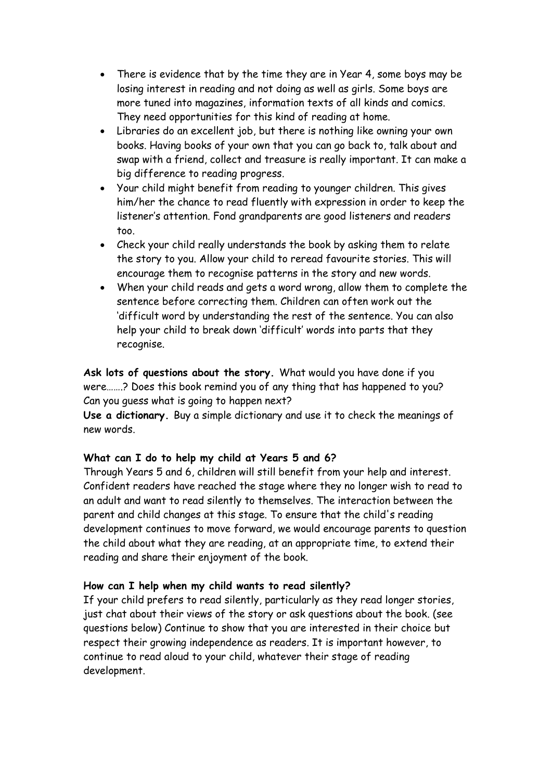- There is evidence that by the time they are in Year 4, some boys may be losing interest in reading and not doing as well as girls. Some boys are more tuned into magazines, information texts of all kinds and comics. They need opportunities for this kind of reading at home.
- Libraries do an excellent job, but there is nothing like owning your own books. Having books of your own that you can go back to, talk about and swap with a friend, collect and treasure is really important. It can make a big difference to reading progress.
- Your child might benefit from reading to younger children. This gives him/her the chance to read fluently with expression in order to keep the listener's attention. Fond grandparents are good listeners and readers too.
- Check your child really understands the book by asking them to relate the story to you. Allow your child to reread favourite stories. This will encourage them to recognise patterns in the story and new words.
- When your child reads and gets a word wrong, allow them to complete the sentence before correcting them. Children can often work out the 'difficult word by understanding the rest of the sentence. You can also help your child to break down 'difficult' words into parts that they recognise.

**Ask lots of questions about the story.** What would you have done if you were…….? Does this book remind you of any thing that has happened to you? Can you guess what is going to happen next?

**Use a dictionary.** Buy a simple dictionary and use it to check the meanings of new words.

### **What can I do to help my child at Years 5 and 6?**

Through Years 5 and 6, children will still benefit from your help and interest. Confident readers have reached the stage where they no longer wish to read to an adult and want to read silently to themselves. The interaction between the parent and child changes at this stage. To ensure that the child's reading development continues to move forward, we would encourage parents to question the child about what they are reading, at an appropriate time, to extend their reading and share their enjoyment of the book.

### **How can I help when my child wants to read silently?**

If your child prefers to read silently, particularly as they read longer stories, just chat about their views of the story or ask questions about the book. (see questions below) Continue to show that you are interested in their choice but respect their growing independence as readers. It is important however, to continue to read aloud to your child, whatever their stage of reading development.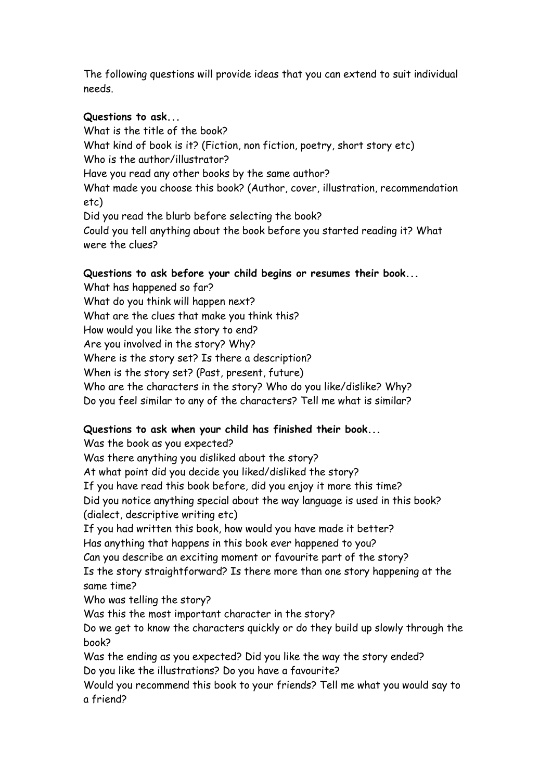The following questions will provide ideas that you can extend to suit individual needs.

#### **Questions to ask...**

What is the title of the book? What kind of book is it? (Fiction, non fiction, poetry, short story etc) Who is the author/illustrator? Have you read any other books by the same author? What made you choose this book? (Author, cover, illustration, recommendation etc) Did you read the blurb before selecting the book? Could you tell anything about the book before you started reading it? What were the clues?

#### **Questions to ask before your child begins or resumes their book...**

What has happened so far? What do you think will happen next? What are the clues that make you think this? How would you like the story to end? Are you involved in the story? Why? Where is the story set? Is there a description? When is the story set? (Past, present, future) Who are the characters in the story? Who do you like/dislike? Why? Do you feel similar to any of the characters? Tell me what is similar?

### **Questions to ask when your child has finished their book...**

Was the book as you expected? Was there anything you disliked about the story? At what point did you decide you liked/disliked the story? If you have read this book before, did you enjoy it more this time? Did you notice anything special about the way language is used in this book? (dialect, descriptive writing etc) If you had written this book, how would you have made it better? Has anything that happens in this book ever happened to you? Can you describe an exciting moment or favourite part of the story? Is the story straightforward? Is there more than one story happening at the same time? Who was telling the story? Was this the most important character in the story? Do we get to know the characters quickly or do they build up slowly through the book? Was the ending as you expected? Did you like the way the story ended? Do you like the illustrations? Do you have a favourite? Would you recommend this book to your friends? Tell me what you would say to

a friend?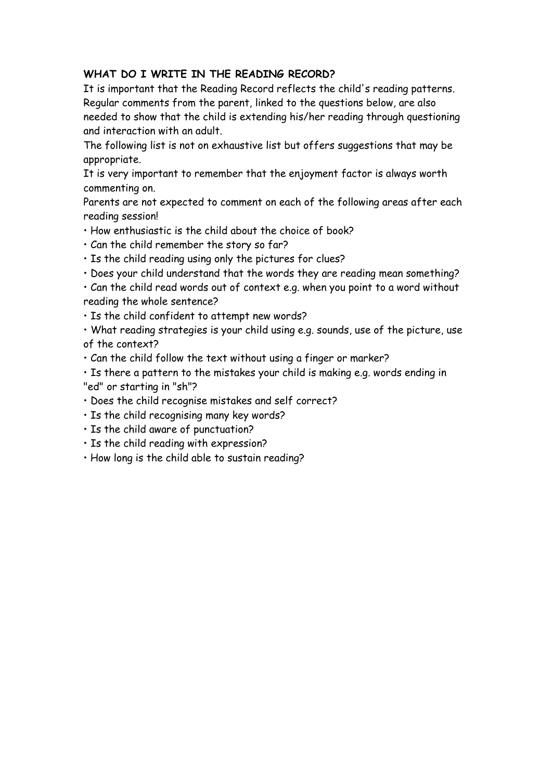#### **WHAT DO I WRITE IN THE READING RECORD?**

It is important that the Reading Record reflects the child's reading patterns. Regular comments from the parent, linked to the questions below, are also needed to show that the child is extending his/her reading through questioning and interaction with an adult.

The following list is not on exhaustive list but offers suggestions that may be appropriate.

It is very important to remember that the enjoyment factor is always worth commenting on.

Parents are not expected to comment on each of the following areas after each reading session!

- How enthusiastic is the child about the choice of book?
- Can the child remember the story so far?
- Is the child reading using only the pictures for clues?
- Does your child understand that the words they are reading mean something?

• Can the child read words out of context e.g. when you point to a word without reading the whole sentence?

• Is the child confident to attempt new words?

• What reading strategies is your child using e.g. sounds, use of the picture, use of the context?

• Can the child follow the text without using a finger or marker?

• Is there a pattern to the mistakes your child is making e.g. words ending in "ed" or starting in "sh"?

- Does the child recognise mistakes and self correct?
- Is the child recognising many key words?
- Is the child aware of punctuation?
- Is the child reading with expression?
- How long is the child able to sustain reading?